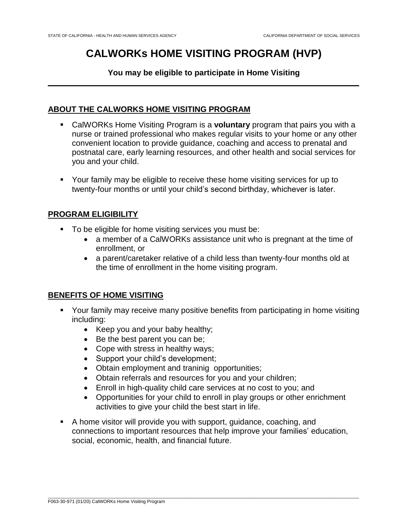# **CALWORKs HOME VISITING PROGRAM (HVP)**

#### **You may be eligible to participate in Home Visiting**   $\overline{\phantom{a}}$  , and the contract of the contract of the contract of the contract of the contract of the contract of the contract of the contract of the contract of the contract of the contract of the contract of the contrac

# **ABOUT THE CALWORKS HOME VISITING PROGRAM**

- CalWORKs Home Visiting Program is a **voluntary** program that pairs you with a nurse or trained professional who makes regular visits to your home or any other convenient location to provide guidance, coaching and access to prenatal and postnatal care, early learning resources, and other health and social services for you and your child.
- Your family may be eligible to receive these home visiting services for up to twenty-four months or until your child's second birthday, whichever is later.

# **PROGRAM ELIGIBILITY**

- To be eligible for home visiting services you must be:
	- a member of a CalWORKs assistance unit who is pregnant at the time of enrollment, or
	- a parent/caretaker relative of a child less than twenty-four months old at the time of enrollment in the home visiting program.

# **BENEFITS OF HOME VISITING**

- Your family may receive many positive benefits from participating in home visiting including:
	- Keep you and your baby healthy;
	- $\bullet$  Be the best parent you can be;
	- Cope with stress in healthy ways;
	- Support your child's development;
	- Obtain employment and traninig opportunities;
	- Obtain referrals and resources for you and your children;
	- Enroll in high-quality child care services at no cost to you; and
	- Opportunities for your child to enroll in play groups or other enrichment activities to give your child the best start in life.
- A home visitor will provide you with support, guidance, coaching, and connections to important resources that help improve your families' education, social, economic, health, and financial future.